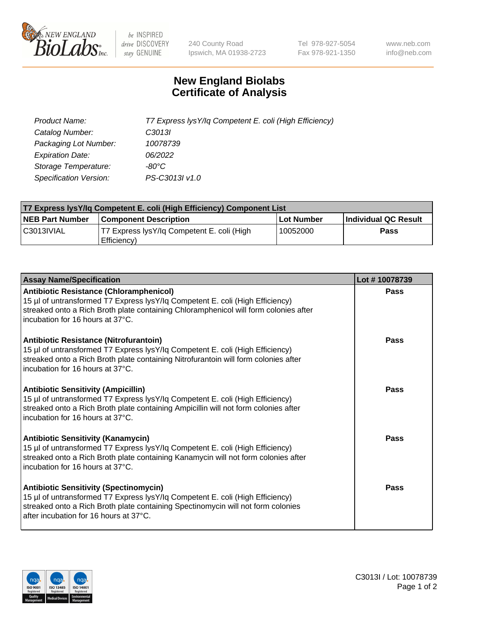

 $be$  INSPIRED drive DISCOVERY stay GENUINE

240 County Road Ipswich, MA 01938-2723 Tel 978-927-5054 Fax 978-921-1350 www.neb.com info@neb.com

## **New England Biolabs Certificate of Analysis**

| Product Name:                 | T7 Express lysY/lq Competent E. coli (High Efficiency) |
|-------------------------------|--------------------------------------------------------|
| Catalog Number:               | C3013I                                                 |
| Packaging Lot Number:         | 10078739                                               |
| <b>Expiration Date:</b>       | 06/2022                                                |
| Storage Temperature:          | $-80^{\circ}$ C                                        |
| <b>Specification Version:</b> | PS-C3013I v1.0                                         |

| <b>T7 Express lysY/lq Competent E. coli (High Efficiency) Component List</b> |                                                           |            |                      |  |
|------------------------------------------------------------------------------|-----------------------------------------------------------|------------|----------------------|--|
| <b>NEB Part Number</b>                                                       | <b>Component Description</b>                              | Lot Number | Individual QC Result |  |
| C3013IVIAL                                                                   | T7 Express lysY/lg Competent E. coli (High<br>Efficiency) | 10052000   | Pass                 |  |

| <b>Assay Name/Specification</b>                                                                                                                                                                                                                              | Lot #10078739 |
|--------------------------------------------------------------------------------------------------------------------------------------------------------------------------------------------------------------------------------------------------------------|---------------|
| <b>Antibiotic Resistance (Chloramphenicol)</b><br>15 µl of untransformed T7 Express lysY/lq Competent E. coli (High Efficiency)<br>streaked onto a Rich Broth plate containing Chloramphenicol will form colonies after<br>incubation for 16 hours at 37°C.  | Pass          |
| <b>Antibiotic Resistance (Nitrofurantoin)</b><br>15 µl of untransformed T7 Express lysY/lq Competent E. coli (High Efficiency)<br>streaked onto a Rich Broth plate containing Nitrofurantoin will form colonies after<br>incubation for 16 hours at 37°C.    | Pass          |
| <b>Antibiotic Sensitivity (Ampicillin)</b><br>15 µl of untransformed T7 Express lysY/lq Competent E. coli (High Efficiency)<br>streaked onto a Rich Broth plate containing Ampicillin will not form colonies after<br>incubation for 16 hours at 37°C.       | Pass          |
| <b>Antibiotic Sensitivity (Kanamycin)</b><br>15 µl of untransformed T7 Express lysY/lq Competent E. coli (High Efficiency)<br>streaked onto a Rich Broth plate containing Kanamycin will not form colonies after<br>incubation for 16 hours at 37°C.         | Pass          |
| <b>Antibiotic Sensitivity (Spectinomycin)</b><br>15 µl of untransformed T7 Express lysY/lq Competent E. coli (High Efficiency)<br>streaked onto a Rich Broth plate containing Spectinomycin will not form colonies<br>after incubation for 16 hours at 37°C. | Pass          |